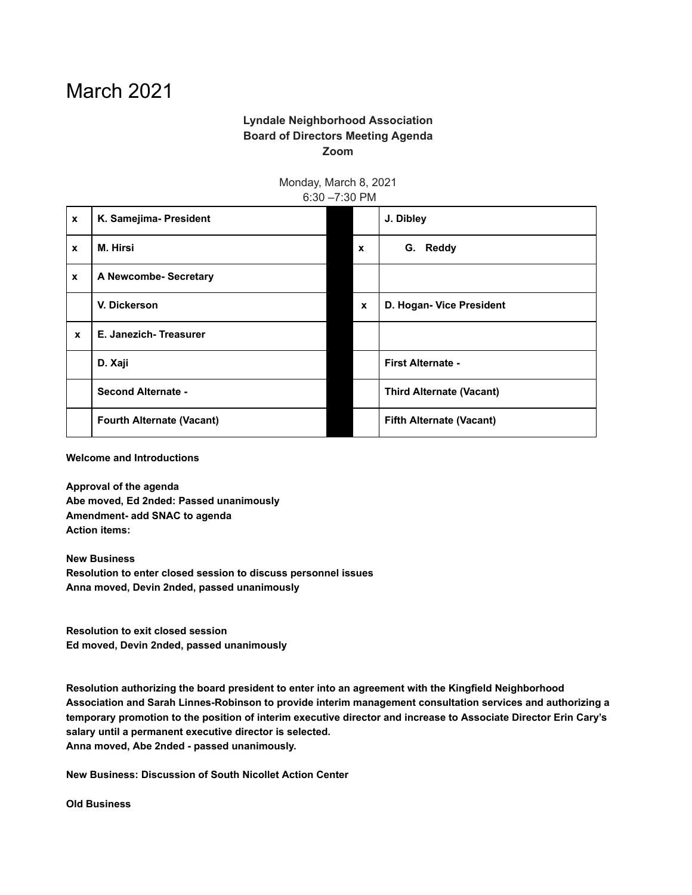## March 2021

## **Lyndale Neighborhood Association Board of Directors Meeting Agenda Zoom**

Monday, March 8, 2021

6:30 –7:30 PM **x K. Samejima- President J. Dibley x M. Hirsi x G. Reddy x A Newcombe- Secretary V. Dickerson x D. Hogan- Vice President x E. Janezich- Treasurer D. Xaji First Alternate - Second Alternate - Third Alternate (Vacant) Fourth Alternate (Vacant) Fifth Alternate (Vacant)**

**Welcome and Introductions**

**Approval of the agenda Abe moved, Ed 2nded: Passed unanimously Amendment- add SNAC to agenda Action items:**

**New Business Resolution to enter closed session to discuss personnel issues Anna moved, Devin 2nded, passed unanimously**

**Resolution to exit closed session Ed moved, Devin 2nded, passed unanimously**

**Resolution authorizing the board president to enter into an agreement with the Kingfield Neighborhood Association and Sarah Linnes-Robinson to provide interim management consultation services and authorizing a temporary promotion to the position of interim executive director and increase to Associate Director Erin Cary's salary until a permanent executive director is selected. Anna moved, Abe 2nded - passed unanimously.**

**New Business: Discussion of South Nicollet Action Center**

**Old Business**